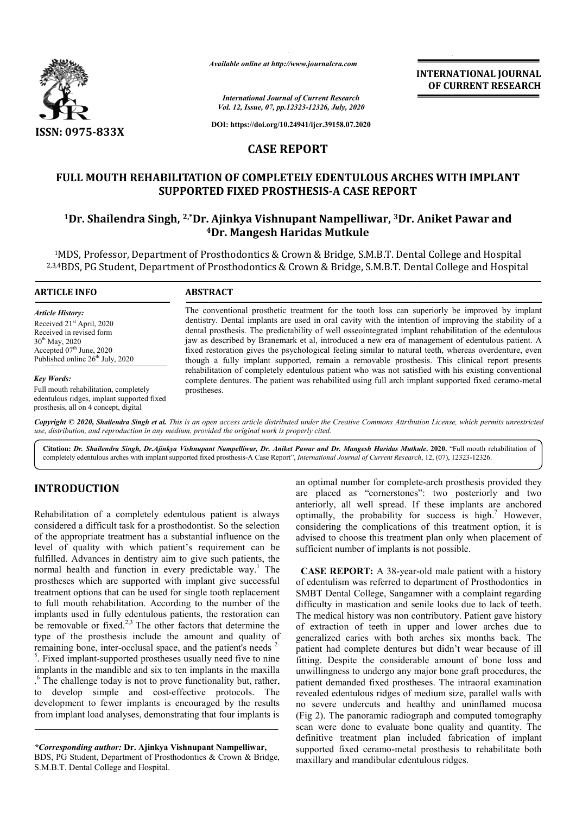

*Available online at http://www.journalcra.com*

**INTERNATIONAL JOURNAL OF CURRENT RESEARCH**

*International Journal of Current Research Vol. 12, Issue, 07, pp.12323-12326, July, 2020*

**DOI: https://doi.org/10.24941/ijcr.39158.07.2020**

## **CASE REPORT**

# FULL MOUTH REHABILITATION OF COMPLETELY EDENTULOUS ARCHES WITH IMPLANT **SUPPORTED FIXED PROSTHESIS PROSTHESIS-A CASE REPORT**

# **1Dr. Shailendra Singh, 2,\*Dr. Dr. Ajinkya Vishnupant Nampelliwar, 3Dr. Aniket Dr. Aniket Pawar and 4 4Dr. Mangesh Haridas Mutkule**

1MDS, Professor, Department of Prosthodontics & Crown & Bridge, S.M.B.T. Dental College and Hospital <sup>1</sup>MDS, Professor, Department of Prosthodontics & Crown & Bridge, S.M.B.T. Dental College and Hospital<br><sup>2,3,4</sup>BDS, PG Student, Department of Prosthodontics & Crown & Bridge, S.M.B.T. Dental College and Hospital

#### **ARTICLE INFO ABSTRACT**

*Article History:* Received 21<sup>st</sup> April, 2020 Received in revised form  $30^{th}$  May, 2020 Accepted 07<sup>th</sup> June, 2020 Published online  $26<sup>th</sup>$  July, 2020

*Key Words:* Full mouth rehabilitation, completely edentulous ridges, implant supported fixed prosthesis, all on 4 concept, digital

The conventional prosthetic treatment for the tooth loss can superiorly be improved by implant dentistry. Dental implants are used in oral cavity with the intention of improving the stability of a dental prosthesis. The predictability of well osseointegrated implant rehabilitation of the edentulous jaw as described by Branemark et al, introduced a new era of management of edentulous patient. A fixed restoration gives the psychological feeling similar to natural teeth, whereas overdenture, even though a fully implant supported, remain a removable prosthesis. This clinical report presents rehabilitation of completely edentulous patient who was not satisfied with his existing conventional complete dentures. The patient was rehabilited using full arch implant supported fixed ceramo-metal prostheses. The conventional prosthetic treatment for the tooth loss can superiorly be improved by implant dentistry. Dental implants are used in oral cavity with the intention of improving the stability of a dental prosthesis. The pr

Copyright © 2020, Shailendra Singh et al. This is an open access article distributed under the Creative Commons Attribution License, which permits unrestrictea *use, distribution, and reproduction in any medium, provided the original work is properly cited.*

Citation: Dr. Shailendra Singh, Dr.Ajinkya Vishnupant Nampelliwar, Dr. Aniket Pawar and Dr. Mangesh Haridas Mutkule. 2020. "Full mouth rehabilitation of completely edentulous arches with implant supported fixed prosthesis-A Case Report", *International Journal of Current Research*, 12, (07), 12323-12326.

## **INTRODUCTION**

Rehabilitation of a completely edentulous patient is always considered a difficult task for a prosthodontist. So the selection of the appropriate treatment has a substantial influence on the level of quality with which patient's requirement can be fulfilled. Advances in dentistry aim to give such patients, the normal health and function in every predictable way.<sup>1</sup> The prostheses which are supported with implant give successful treatment options that can be used for single tooth replacement to full mouth rehabilitation. According to the number of the implants used in fully edentulous patients, the restoration can be removable or fixed.<sup>2,3</sup> The other factors that determine the type of the prosthesis include the amount and quality of remaining bone, inter-occlusal space, and the patient's needs  $2$ - $<sup>5</sup>$ . Fixed implant-supported prostheses usually need five to nine</sup> implants in the mandible and six to ten implants in the maxilla . <sup>6</sup> The challenge today is not to prove functionality but, rather, to develop simple and cost-effective protocols. The development to fewer implants is encouraged by the results from implant load analyses, demonstrating that four implants is edentulous patients, the restoration can<br> $l^{2,3}$ . The other factors that determine the<br>is include the amount and quality of<br>occlusal space, and the patient's needs<sup>2-</sup>

*\*Corresponding author:* **Dr. Ajinkya Vishnupant Nampelliwar Nampelliwar,** BDS, PG Student, Department of Prosthodontics & Crown & Bridge, S.M.B.T. Dental College and Hospital.

an optimal number for complete-arch prosthesis provided they are placed as "cornerstones": two posteriorly and two anteriorly, all well spread. If these implants are anchored are placed as "cornerstones": two posteriorly and two anteriorly, all well spread. If these implants are anchored optimally, the probability for success is high.<sup>7</sup> However, considering the complications of this treatment option, it is advised to choose this treatment plan only when placement of sufficient number of implants is not possible. sufficient number of implants is not possible.

**CASE REPORT:** A 38-year-old male patient with a history of edentulism was referred to department of Prosthodontics in SMBT Dental College, Sangamner with a complaint regarding difficulty in mastication and senile looks due to lack of teeth. The medical history was non contributory. Patient gave history of extraction of teeth in upper and lower arches due to generalized caries with both arches six months back. The patient had complete dentures but didn't wear because of ill fitting. Despite the considerable amount of bone loss and unwillingness to undergo any major bone graft procedures, the patient demanded fixed prostheses. The intraoral examination revealed edentulous ridges of medium size, parallel walls with revealed edentulous ridges of medium size, parallel walls with<br>no severe undercuts and healthy and uninflamed mucosa (Fig 2). The panoramic radiograph and computed tomography (Fig 2). The panoramic radiograph and computed tomography scan were done to evaluate bone quality and quantity. The definitive treatment plan included fabrication of implant supported fixed ceramo-metal prosthesis to rehabilitate both maxillary and mandibular edentulous ridges. of edentulism was referred to department of Prosthodontics in SMBT Dental College, Sangamner with a complaint regarding difficulty in mastication and senile looks due to lack of teeth. The medical history was non contribut **INTERNATIONAL JOURNAL OF CURRENT RESEARCH (CURRENT RESEARCH (CURRENT RESEARCH (CURRENT RESEARCH (TRIP) TRIP)**<br> **ET ADMIGLE TO A THE SEARCH (TRIP)** and T. Dental College and Hospital B.T. Dental College and Hospital B.T. D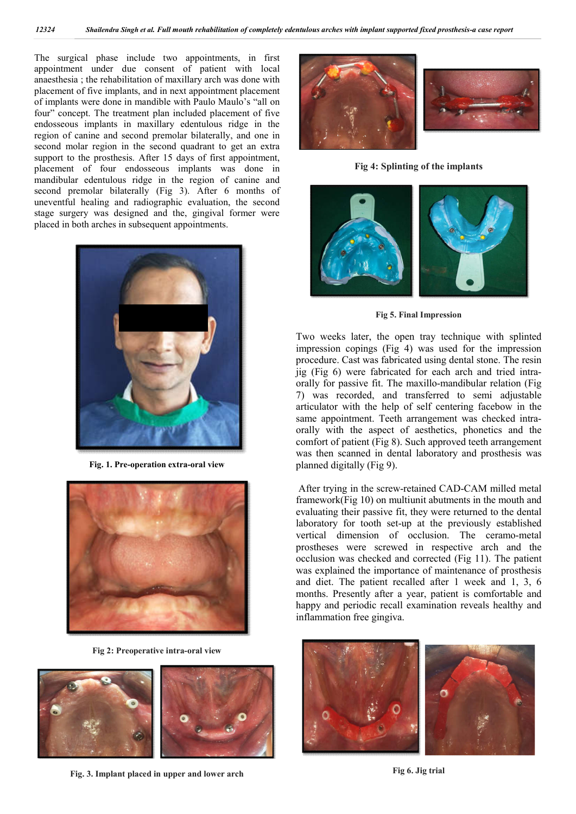The surgical phase include two appointments, in first appointment under due consent of patient with local anaesthesia ; the rehabilitation of maxillary arch was done with placement of five implants, and in next appointment placement of implants were done in mandible with Paulo Maulo's "all on four" concept. The treatment plan included placement of five endosseous implants in maxillary edentulous ridge in the region of canine and second premolar bilaterally, and one in second molar region in the second quadrant to get an extra support to the prosthesis. After 15 days of first appointment, placement of four endosseous implants was done in mandibular edentulous ridge in the region of canine and second premolar bilaterally (Fig 3). After 6 months of uneventful healing and radiographic evaluation, the second stage surgery was designed and the, gingival former were placed in both arches in subsequent appointments.



**Fig. 1. Pre-operation extra-oral view**



**Fig 2: Preoperative intra-oral view**







**Fig 4: Splinting of the implants**



**Fig 5. Final Impression**

Two weeks later, the open tray technique with splinted impression copings (Fig 4) was used for the impression procedure. Cast was fabricated using dental stone. The resin jig (Fig 6) were fabricated for each arch and tried intraorally for passive fit. The maxillo-mandibular relation (Fig 7) was recorded, and transferred to semi adjustable articulator with the help of self centering facebow in the same appointment. Teeth arrangement was checked intraorally with the aspect of aesthetics, phonetics and the comfort of patient (Fig 8). Such approved teeth arrangement was then scanned in dental laboratory and prosthesis was planned digitally (Fig 9).

After trying in the screw-retained CAD-CAM milled metal framework(Fig 10) on multiunit abutments in the mouth and evaluating their passive fit, they were returned to the dental laboratory for tooth set-up at the previously established vertical dimension of occlusion. The ceramo-metal prostheses were screwed in respective arch and the occlusion was checked and corrected (Fig 11). The patient was explained the importance of maintenance of prosthesis and diet. The patient recalled after 1 week and 1, 3, 6 months. Presently after a year, patient is comfortable and happy and periodic recall examination reveals healthy and inflammation free gingiva.



**Fig 6. Jig trial**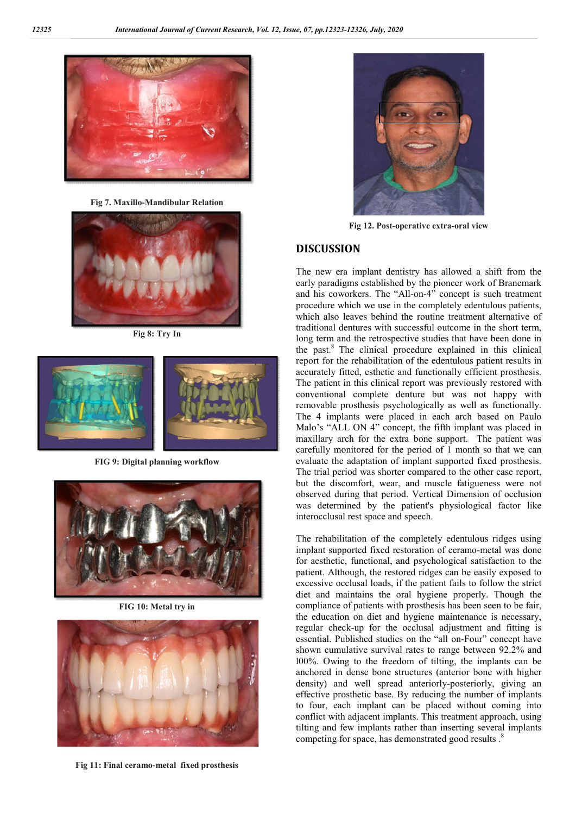

**Fig 7. Maxillo-Mandibular Relation**



**Fig 8: Try In**



**FIG 9: Digital planning workflow**



**FIG 10: Metal try in**



**Fig 11: Final ceramo-metal fixed prosthesis**



**Fig 12. Post-operative extra-oral view**

## **DISCUSSION**

The new era implant dentistry has allowed a shift from the early paradigms established by the pioneer work of Branemark and his coworkers. The "All-on-4" concept is such treatment procedure which we use in the completely edentulous patients, which also leaves behind the routine treatment alternative of traditional dentures with successful outcome in the short term, long term and the retrospective studies that have been done in the past.8 The clinical procedure explained in this clinical report for the rehabilitation of the edentulous patient results in accurately fitted, esthetic and functionally efficient prosthesis. The patient in this clinical report was previously restored with conventional complete denture but was not happy with removable prosthesis psychologically as well as functionally. The 4 implants were placed in each arch based on Paulo Malo's "ALL ON 4" concept, the fifth implant was placed in maxillary arch for the extra bone support. The patient was carefully monitored for the period of 1 month so that we can evaluate the adaptation of implant supported fixed prosthesis. The trial period was shorter compared to the other case report, but the discomfort, wear, and muscle fatigueness were not observed during that period. Vertical Dimension of occlusion was determined by the patient's physiological factor like interocclusal rest space and speech.

The rehabilitation of the completely edentulous ridges using implant supported fixed restoration of ceramo-metal was done for aesthetic, functional, and psychological satisfaction to the patient. Although, the restored ridges can be easily exposed to excessive occlusal loads, if the patient fails to follow the strict diet and maintains the oral hygiene properly. Though the compliance of patients with prosthesis has been seen to be fair, the education on diet and hygiene maintenance is necessary, regular check-up for the occlusal adjustment and fitting is essential. Published studies on the "all on-Four" concept have shown cumulative survival rates to range between 92.2% and l00%. Owing to the freedom of tilting, the implants can be anchored in dense bone structures (anterior bone with higher density) and well spread anteriorly-posteriorly, giving an effective prosthetic base. By reducing the number of implants to four, each implant can be placed without coming into conflict with adjacent implants. This treatment approach, using tilting and few implants rather than inserting several implants competing for space, has demonstrated good results.<sup>8</sup>